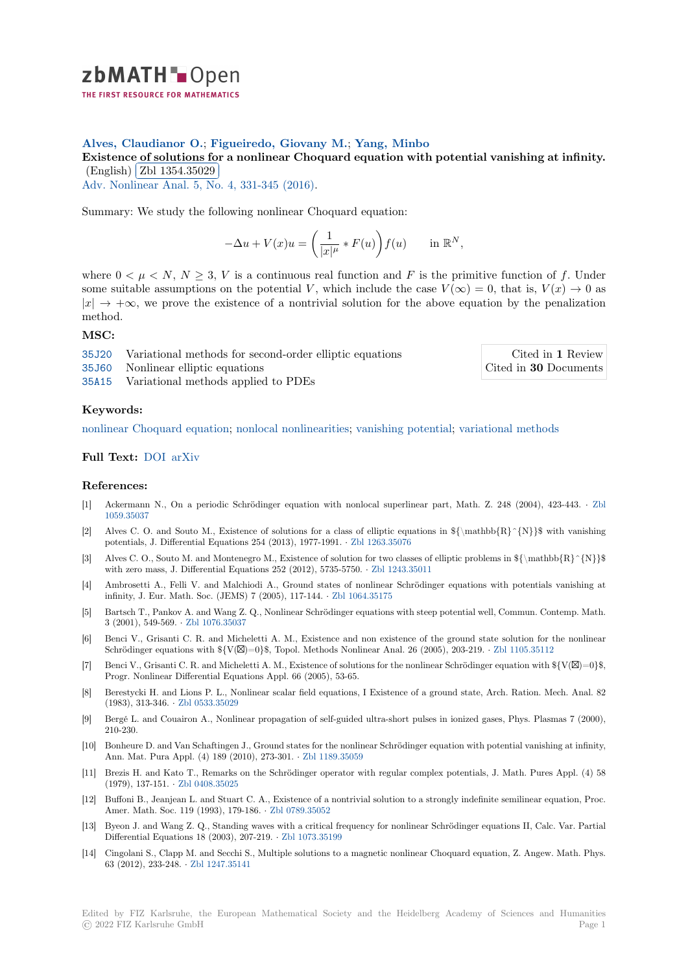

## **Alves, Claudianor O.**; **Figueiredo, Giovany M.**; **Yang, Minbo**

[E](https://zbmath.org/)xistence of solutions for a nonlinear Choquard equation with potential vanishing at infinity. Existence of solutions in<br>(English) Zbl 1354.35029

Adv. Nonlinear Anal. 5, No. 4, 331-345 (2016).

[Summary: We study the following nonlinear Choquard equation:](https://zbmath.org/1354.35029)

$$
-\Delta u + V(x)u = \left(\frac{1}{|x|^{\mu}} * F(u)\right) f(u) \quad \text{in } \mathbb{R}^N,
$$

where  $0 < \mu < N$ ,  $N \geq 3$ , *V* is a continuous real function and *F* is the primitive function of *f*. Under some suitable assumptions on the potential *V*, which include the case  $V(\infty) = 0$ , that is,  $V(x) \to 0$  as *|x| →* +*∞*, we prove the existence of a nontrivial solution for the above equation by the penalization method.

### **MSC:**

35J20 Variational methods for second-order elliptic equations

35J60 Nonlinear elliptic equations

Cited in **1** Review Cited in **30** Documents

35A15 Variational methods applied to PDEs

#### **[Keyw](https://zbmath.org/classification/?q=cc:35J20)ords:**

[nonlin](https://zbmath.org/classification/?q=cc:35J60)ear Choquard equation; nonlocal nonlinearities; vanishing potential; varia[tional methods](https://zbmath.org/?q=rf:1354.35029|6661887)

# **Full Text:** DOI arXiv

#### **[References:](https://zbmath.org/?q=ut:nonlinear+Choquard+equation)**

- [1] Ackermann N., [On a p](https://arxiv.org/abs/1511.04551)eriodic Schrödinger equation with nonlocal superlinear part, Math. Z. 248 (2004), 423-443. *·* Zbl 1059.3503[7](https://dx.doi.org/10.1515/anona-2015-0123)
- [2] Alves C. O. and Souto M., Existence of solutions for a class of elliptic equations in  ${\{\mathrm{R}\}}{\{R\}}$  [R] with vanishing potentials, J. Differential Equations 254 (2013), 1977-1991. *·* Zbl 1263.35076
- [3] Alves C. O., Souto M. and Montenegro M., Existence of solution for two classes of elliptic problems in  ${\mathbb{R}^{N}}$ [with zero m](https://zbmath.org/1059.35037)ass, J. Differential Equations 252 (2012), 5735-5750. *·* Zbl 1243.35011
- [4] Ambrosetti A., Felli V. and Malchiodi A., Ground states of nonlinear Schrödinger equations with potentials vanishing at infinity, J. Eur. Math. Soc. (JEMS) 7 (2005), 117-144. *·* Zbl [1064.35175](https://zbmath.org/1263.35076)
- [5] Bartsch T., Pankov A. and Wang Z. Q., Nonlinear Schrödinger equations with steep potential well, Commun. Contemp. Math. 3 (2001), 549-569. *·* Zbl 1076.35037
- [6] Benci V., Grisanti C. R. and Micheletti A. M., Existence and non existence of the ground state solution for the nonlinear Schrödinger equations with  $\{\{V(\boxtimes)=0\}\$ , Topol. Metho[ds Nonlinear An](https://zbmath.org/1064.35175)al. 26 (2005), 203-219. *·* Zbl 1105.35112
- [7] Benci V., Grisanti C. R. and Micheletti A. M., Existence of solutions for the nonlinear Schrödinger equation with  $\{V(\boxtimes)=0\}$ \$, Progr. Nonlinear Di[fferential Equat](https://zbmath.org/1076.35037)ions Appl. 66 (2005), 53-65.
- [8] Berestycki H. and Lions P. L., Nonlinear scalar field equations, I Existence of a ground state, Arch. Ration. Mech. Anal. 82 (1983), 313-346. *·* Zbl 0533.35029
- [9] Bergé L. and Couairon A., Nonlinear propagation of self-guided ultra-short pulses in ionized gases, Phys. Plasmas 7 (2000), 210-230.
- [10] Bonheure D. and Van Schaftingen J., Ground states for the nonlinear Schrödinger equation with potential vanishing at infinity, Ann. Mat. Pura [Appl. \(4\) 189 \(20](https://zbmath.org/0533.35029)10), 273-301. *·* Zbl 1189.35059
- [11] Brezis H. and Kato T., Remarks on the Schrödinger operator with regular complex potentials, J. Math. Pures Appl. (4) 58 (1979), 137-151. *·* Zbl 0408.35025
- [12] Buffoni B., Jeanjean L. and Stuart C. A., Existence of a nontrivial solution to a strongly indefinite semilinear equation, Proc. Amer. Math. Soc. 119 (1993), 179-186. *·* Zbl 078[9.35052](https://zbmath.org/1189.35059)
- [13] Byeon J. and Wang Z. Q., Standing waves with a critical frequency for nonlinear Schrödinger equations II, Calc. Var. Partial Differential Equat[ions 18 \(2003\),](https://zbmath.org/0408.35025) 207-219. *·* Zbl 1073.35199
- [14] Cingolani S., Clapp M. and Secchi S., Multiple solutions to a magnetic nonlinear Choquard equation, Z. Angew. Math. Phys. 63 (2012), 233-248. *·* Zbl 1247.35141